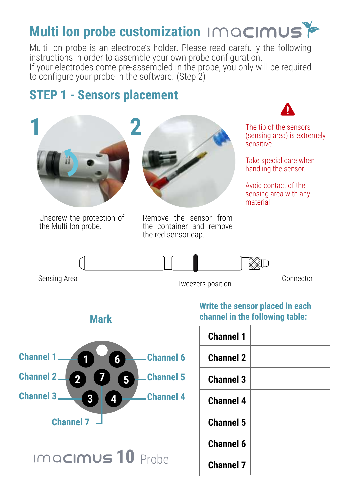## **Multi Ion probe customization**

Multi Ion probe is an electrode's holder. Please read carefully the following instructions in order to assemble your own probe configuration. If your electrodes come pre-assembled in the probe, you only will be required to configure your probe in the software. (Step 2)

## **STEP 1 - Sensors placement**





Unscrew the protection of the Multi Ion probe.

Remove the sensor from the container and remove the red sensor cap.



The tip of the sensors (sensing area) is extremely sensitive.

Take special care when handling the sensor.

Avoid contact of the sensing area with any material





**Write the sensor placed in each channel in the following table:**

| <b>Channel 1</b> |  |
|------------------|--|
| <b>Channel 2</b> |  |
| <b>Channel 3</b> |  |
| <b>Channel 4</b> |  |
| <b>Channel 5</b> |  |
| Channel 6        |  |
| <b>Channel 7</b> |  |